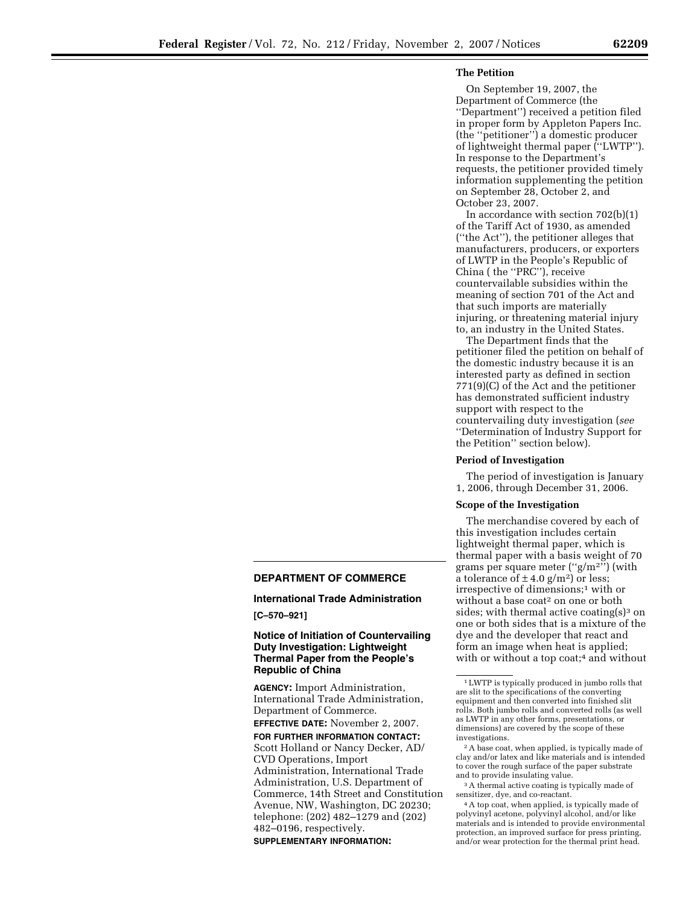# **The Petition**

On September 19, 2007, the Department of Commerce (the ''Department'') received a petition filed in proper form by Appleton Papers Inc. (the ''petitioner'') a domestic producer of lightweight thermal paper (''LWTP''). In response to the Department's requests, the petitioner provided timely information supplementing the petition on September 28, October 2, and October 23, 2007.

In accordance with section 702(b)(1) of the Tariff Act of 1930, as amended (''the Act''), the petitioner alleges that manufacturers, producers, or exporters of LWTP in the People's Republic of China ( the ''PRC''), receive countervailable subsidies within the meaning of section 701 of the Act and that such imports are materially injuring, or threatening material injury to, an industry in the United States.

The Department finds that the petitioner filed the petition on behalf of the domestic industry because it is an interested party as defined in section 771(9)(C) of the Act and the petitioner has demonstrated sufficient industry support with respect to the countervailing duty investigation (*see*  ''Determination of Industry Support for the Petition'' section below).

#### **Period of Investigation**

The period of investigation is January 1, 2006, through December 31, 2006.

#### **Scope of the Investigation**

The merchandise covered by each of this investigation includes certain lightweight thermal paper, which is thermal paper with a basis weight of 70 grams per square meter (''g/m2'') (with a tolerance of  $\pm$  4.0 g/m<sup>2</sup>) or less; irrespective of dimensions;1 with or without a base coat<sup>2</sup> on one or both sides; with thermal active coating $(s)$ <sup>3</sup> on one or both sides that is a mixture of the dye and the developer that react and form an image when heat is applied; with or without a top coat;<sup>4</sup> and without

2A base coat, when applied, is typically made of clay and/or latex and like materials and is intended to cover the rough surface of the paper substrate and to provide insulating value.

3A thermal active coating is typically made of sensitizer, dye, and co-reactant.

4A top coat, when applied, is typically made of polyvinyl acetone, polyvinyl alcohol, and/or like materials and is intended to provide environmental protection, an improved surface for press printing, and/or wear protection for the thermal print head.

# **DEPARTMENT OF COMMERCE**

#### **International Trade Administration**

**[C–570–921]** 

# **Notice of Initiation of Countervailing Duty Investigation: Lightweight Thermal Paper from the People's Republic of China**

**AGENCY:** Import Administration, International Trade Administration, Department of Commerce. **EFFECTIVE DATE:** November 2, 2007. **FOR FURTHER INFORMATION CONTACT:**  Scott Holland or Nancy Decker, AD/ CVD Operations, Import Administration, International Trade Administration, U.S. Department of Commerce, 14th Street and Constitution Avenue, NW, Washington, DC 20230; telephone: (202) 482–1279 and (202) 482–0196, respectively. **SUPPLEMENTARY INFORMATION:** 

<sup>1</sup>LWTP is typically produced in jumbo rolls that are slit to the specifications of the converting equipment and then converted into finished slit rolls. Both jumbo rolls and converted rolls (as well as LWTP in any other forms, presentations, or dimensions) are covered by the scope of these investigations.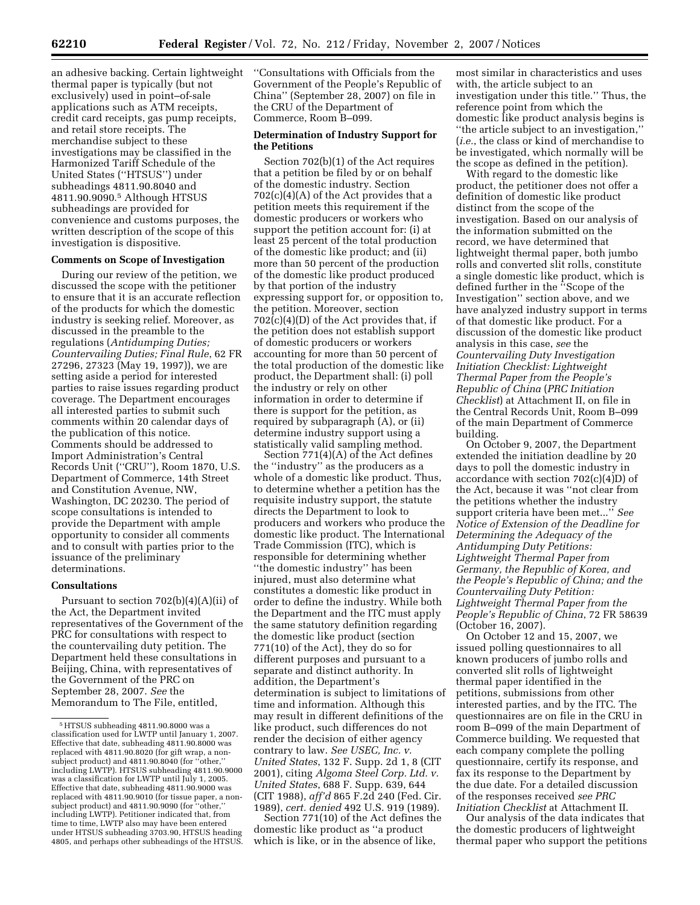an adhesive backing. Certain lightweight thermal paper is typically (but not exclusively) used in point–of-sale applications such as ATM receipts, credit card receipts, gas pump receipts, and retail store receipts. The merchandise subject to these investigations may be classified in the Harmonized Tariff Schedule of the United States (''HTSUS'') under subheadings 4811.90.8040 and 4811.90.9090.5 Although HTSUS subheadings are provided for convenience and customs purposes, the written description of the scope of this investigation is dispositive.

### **Comments on Scope of Investigation**

During our review of the petition, we discussed the scope with the petitioner to ensure that it is an accurate reflection of the products for which the domestic industry is seeking relief. Moreover, as discussed in the preamble to the regulations (*Antidumping Duties; Countervailing Duties; Final Rule*, 62 FR 27296, 27323 (May 19, 1997)), we are setting aside a period for interested parties to raise issues regarding product coverage. The Department encourages all interested parties to submit such comments within 20 calendar days of the publication of this notice. Comments should be addressed to Import Administration's Central Records Unit (''CRU''), Room 1870, U.S. Department of Commerce, 14th Street and Constitution Avenue, NW, Washington, DC 20230. The period of scope consultations is intended to provide the Department with ample opportunity to consider all comments and to consult with parties prior to the issuance of the preliminary determinations.

#### **Consultations**

Pursuant to section  $702(b)(4)(A)(ii)$  of the Act, the Department invited representatives of the Government of the PRC for consultations with respect to the countervailing duty petition. The Department held these consultations in Beijing, China, with representatives of the Government of the PRC on September 28, 2007. *See* the Memorandum to The File, entitled,

''Consultations with Officials from the Government of the People's Republic of China'' (September 28, 2007) on file in the CRU of the Department of Commerce, Room B–099.

# **Determination of Industry Support for the Petitions**

Section 702(b)(1) of the Act requires that a petition be filed by or on behalf of the domestic industry. Section  $702(c)(4)(A)$  of the Act provides that a petition meets this requirement if the domestic producers or workers who support the petition account for: (i) at least 25 percent of the total production of the domestic like product; and (ii) more than 50 percent of the production of the domestic like product produced by that portion of the industry expressing support for, or opposition to, the petition. Moreover, section  $702(c)(4)(D)$  of the Act provides that, if the petition does not establish support of domestic producers or workers accounting for more than 50 percent of the total production of the domestic like product, the Department shall: (i) poll the industry or rely on other information in order to determine if there is support for the petition, as required by subparagraph (A), or (ii) determine industry support using a statistically valid sampling method.

Section 771(4)(A) of the Act defines the ''industry'' as the producers as a whole of a domestic like product. Thus, to determine whether a petition has the requisite industry support, the statute directs the Department to look to producers and workers who produce the domestic like product. The International Trade Commission (ITC), which is responsible for determining whether ''the domestic industry'' has been injured, must also determine what constitutes a domestic like product in order to define the industry. While both the Department and the ITC must apply the same statutory definition regarding the domestic like product (section 771(10) of the Act), they do so for different purposes and pursuant to a separate and distinct authority. In addition, the Department's determination is subject to limitations of time and information. Although this may result in different definitions of the like product, such differences do not render the decision of either agency contrary to law. *See USEC, Inc. v. United States*, 132 F. Supp. 2d 1, 8 (CIT 2001), citing *Algoma Steel Corp. Ltd. v. United States*, 688 F. Supp. 639, 644 (CIT 1988), *aff'd* 865 F.2d 240 (Fed. Cir. 1989), *cert. denied* 492 U.S. 919 (1989).

Section 771(10) of the Act defines the domestic like product as ''a product which is like, or in the absence of like,

most similar in characteristics and uses with, the article subject to an investigation under this title.'' Thus, the reference point from which the domestic like product analysis begins is ''the article subject to an investigation,'' (*i.e.*, the class or kind of merchandise to be investigated, which normally will be the scope as defined in the petition).

With regard to the domestic like product, the petitioner does not offer a definition of domestic like product distinct from the scope of the investigation. Based on our analysis of the information submitted on the record, we have determined that lightweight thermal paper, both jumbo rolls and converted slit rolls, constitute a single domestic like product, which is defined further in the ''Scope of the Investigation'' section above, and we have analyzed industry support in terms of that domestic like product. For a discussion of the domestic like product analysis in this case, *see* the *Countervailing Duty Investigation Initiation Checklist: Lightweight Thermal Paper from the People's Republic of China* (*PRC Initiation Checklist*) at Attachment II, on file in the Central Records Unit, Room B–099 of the main Department of Commerce building.

On October 9, 2007, the Department extended the initiation deadline by 20 days to poll the domestic industry in accordance with section 702(c)(4)D) of the Act, because it was ''not clear from the petitions whether the industry support criteria have been met...'' *See Notice of Extension of the Deadline for Determining the Adequacy of the Antidumping Duty Petitions: Lightweight Thermal Paper from Germany, the Republic of Korea, and the People's Republic of China; and the Countervailing Duty Petition: Lightweight Thermal Paper from the People's Republic of China*, 72 FR 58639 (October 16, 2007).

On October 12 and 15, 2007, we issued polling questionnaires to all known producers of jumbo rolls and converted slit rolls of lightweight thermal paper identified in the petitions, submissions from other interested parties, and by the ITC. The questionnaires are on file in the CRU in room B–099 of the main Department of Commerce building. We requested that each company complete the polling questionnaire, certify its response, and fax its response to the Department by the due date. For a detailed discussion of the responses received *see PRC Initiation Checklist* at Attachment II.

Our analysis of the data indicates that the domestic producers of lightweight thermal paper who support the petitions

<sup>5</sup>HTSUS subheading 4811.90.8000 was a classification used for LWTP until January 1, 2007. Effective that date, subheading 4811.90.8000 was replaced with 4811.90.8020 (for gift wrap, a nonsubject product) and 4811.90.8040 (for ''other,'' including LWTP). HTSUS subheading 4811.90.9000 was a classification for LWTP until July 1, 2005. Effective that date, subheading 4811.90.9000 was replaced with 4811.90.9010 (for tissue paper, a non-subject product) and 4811.90.9090 (for ''other,'' including LWTP). Petitioner indicated that, from time to time, LWTP also may have been entered under HTSUS subheading 3703.90, HTSUS heading 4805, and perhaps other subheadings of the HTSUS.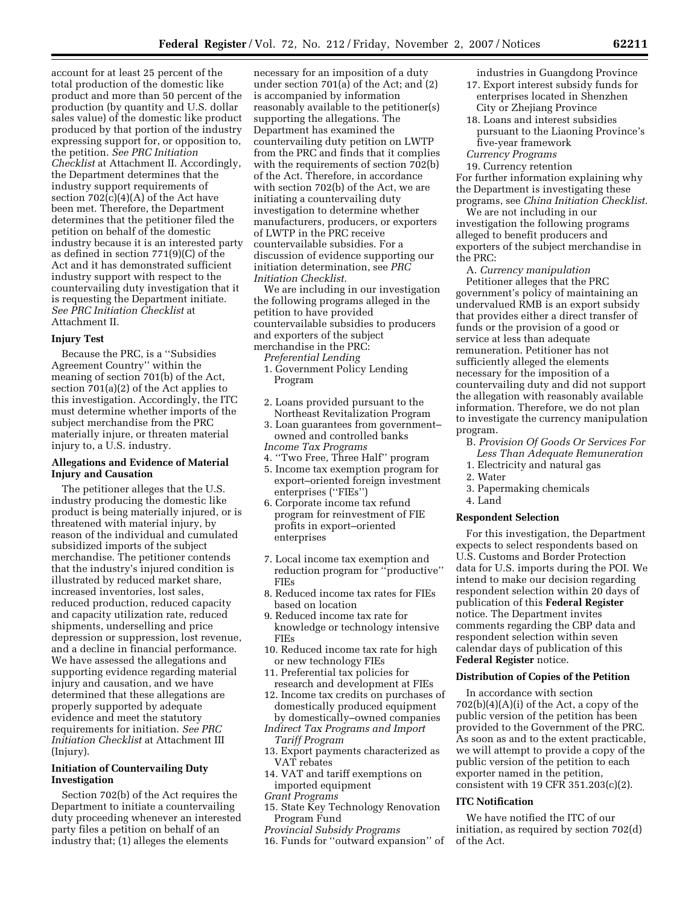account for at least 25 percent of the total production of the domestic like product and more than 50 percent of the production (by quantity and U.S. dollar sales value) of the domestic like product produced by that portion of the industry expressing support for, or opposition to, the petition. *See PRC Initiation Checklist* at Attachment II. Accordingly, the Department determines that the industry support requirements of section 702(c)(4)(A) of the Act have been met. Therefore, the Department determines that the petitioner filed the petition on behalf of the domestic industry because it is an interested party as defined in section 771(9)(C) of the Act and it has demonstrated sufficient industry support with respect to the countervailing duty investigation that it is requesting the Department initiate. *See PRC Initiation Checklist* at Attachment II.

#### **Injury Test**

Because the PRC, is a ''Subsidies Agreement Country'' within the meaning of section 701(b) of the Act, section 701(a)(2) of the Act applies to this investigation. Accordingly, the ITC must determine whether imports of the subject merchandise from the PRC materially injure, or threaten material injury to, a U.S. industry.

# **Allegations and Evidence of Material Injury and Causation**

The petitioner alleges that the U.S. industry producing the domestic like product is being materially injured, or is threatened with material injury, by reason of the individual and cumulated subsidized imports of the subject merchandise. The petitioner contends that the industry's injured condition is illustrated by reduced market share, increased inventories, lost sales, reduced production, reduced capacity and capacity utilization rate, reduced shipments, underselling and price depression or suppression, lost revenue, and a decline in financial performance. We have assessed the allegations and supporting evidence regarding material injury and causation, and we have determined that these allegations are properly supported by adequate evidence and meet the statutory requirements for initiation. *See PRC Initiation Checklist* at Attachment III (Injury).

# **Initiation of Countervailing Duty Investigation**

Section 702(b) of the Act requires the Department to initiate a countervailing duty proceeding whenever an interested party files a petition on behalf of an industry that; (1) alleges the elements

necessary for an imposition of a duty under section 701(a) of the Act; and (2) is accompanied by information reasonably available to the petitioner(s) supporting the allegations. The Department has examined the countervailing duty petition on LWTP from the PRC and finds that it complies with the requirements of section 702(b) of the Act. Therefore, in accordance with section 702(b) of the Act, we are initiating a countervailing duty investigation to determine whether manufacturers, producers, or exporters of LWTP in the PRC receive countervailable subsidies. For a discussion of evidence supporting our initiation determination, see *PRC Initiation Checklist*.

We are including in our investigation the following programs alleged in the petition to have provided countervailable subsidies to producers and exporters of the subject merchandise in the PRC:

*Preferential Lending*  1. Government Policy Lending Program

- 2. Loans provided pursuant to the Northeast Revitalization Program
- 3. Loan guarantees from government– owned and controlled banks *Income Tax Programs*
- 4. ''Two Free, Three Half'' program
- 5. Income tax exemption program for export–oriented foreign investment enterprises ("FIEs")
- 6. Corporate income tax refund program for reinvestment of FIE profits in export–oriented enterprises
- 7. Local income tax exemption and reduction program for ''productive'' FIEs
- 8. Reduced income tax rates for FIEs based on location
- 9. Reduced income tax rate for knowledge or technology intensive FIEs
- 10. Reduced income tax rate for high or new technology FIEs
- 11. Preferential tax policies for research and development at FIEs
- 12. Income tax credits on purchases of domestically produced equipment by domestically–owned companies
- *Indirect Tax Programs and Import Tariff Program*
- 13. Export payments characterized as VAT rebates
- 14. VAT and tariff exemptions on imported equipment

*Grant Programs* 

- 15. State Key Technology Renovation Program Fund
- *Provincial Subsidy Programs*
- 16. Funds for ''outward expansion'' of
- industries in Guangdong Province 17. Export interest subsidy funds for enterprises located in Shenzhen City or Zhejiang Province
- 18. Loans and interest subsidies pursuant to the Liaoning Province's five-year framework
- *Currency Programs*

19. Currency retention For further information explaining why the Department is investigating these programs, see *China Initiation Checklist*.

We are not including in our investigation the following programs alleged to benefit producers and exporters of the subject merchandise in the PRC:

A. *Currency manipulation*  Petitioner alleges that the PRC government's policy of maintaining an undervalued RMB is an export subsidy that provides either a direct transfer of funds or the provision of a good or service at less than adequate remuneration. Petitioner has not sufficiently alleged the elements necessary for the imposition of a countervailing duty and did not support the allegation with reasonably available information. Therefore, we do not plan to investigate the currency manipulation program.

- B. *Provision Of Goods Or Services For* 
	- *Less Than Adequate Remuneration*
- 1. Electricity and natural gas 2. Water
- 3. Papermaking chemicals
- 4. Land

### **Respondent Selection**

For this investigation, the Department expects to select respondents based on U.S. Customs and Border Protection data for U.S. imports during the POI. We intend to make our decision regarding respondent selection within 20 days of publication of this **Federal Register**  notice. The Department invites comments regarding the CBP data and respondent selection within seven calendar days of publication of this **Federal Register** notice.

# **Distribution of Copies of the Petition**

In accordance with section  $702(b)(4)(A)(i)$  of the Act, a copy of the public version of the petition has been provided to the Government of the PRC. As soon as and to the extent practicable, we will attempt to provide a copy of the public version of the petition to each exporter named in the petition, consistent with 19 CFR 351.203(c)(2).

#### **ITC Notification**

We have notified the ITC of our initiation, as required by section 702(d) of the Act.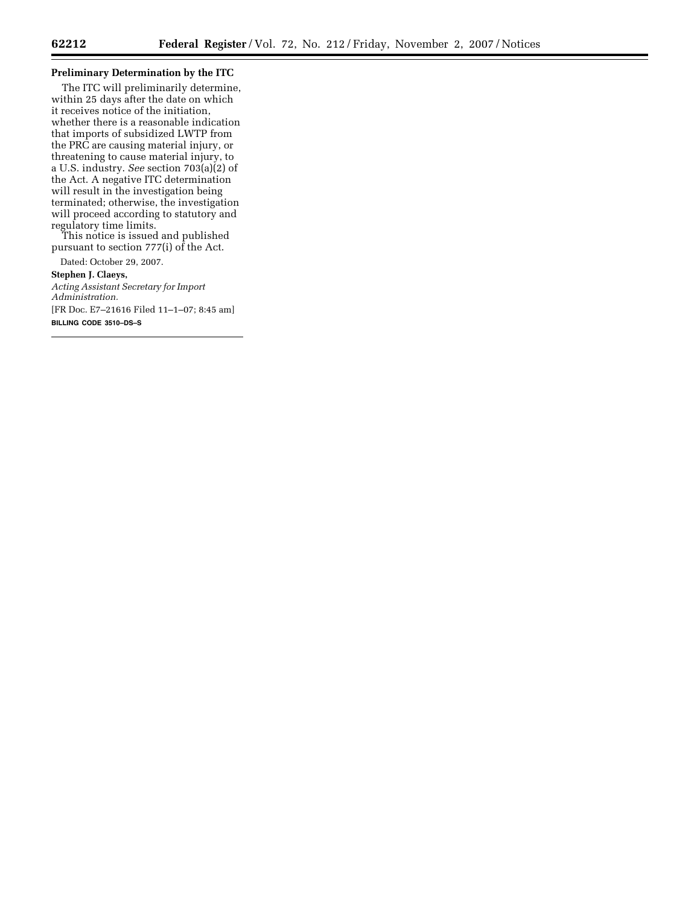Ξ

# **Preliminary Determination by the ITC**

The ITC will preliminarily determine, within 25 days after the date on which it receives notice of the initiation, whether there is a reasonable indication that imports of subsidized LWTP from the PRC are causing material injury, or threatening to cause material injury, to a U.S. industry. *See* section 703(a)(2) of the Act. A negative ITC determination will result in the investigation being terminated; otherwise, the investigation will proceed according to statutory and regulatory time limits.

This notice is issued and published pursuant to section 777(i) of the Act.

Dated: October 29, 2007.

**Stephen J. Claeys,**  *Acting Assistant Secretary for Import Administration.*  [FR Doc. E7–21616 Filed 11–1–07; 8:45 am] **BILLING CODE 3510–DS–S**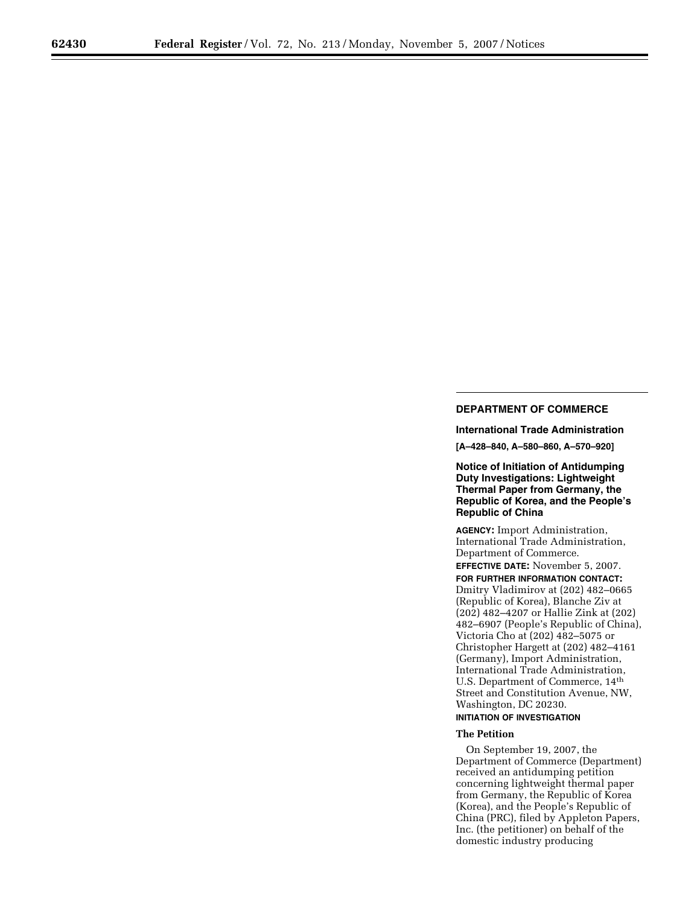# **DEPARTMENT OF COMMERCE**

**International Trade Administration [A–428–840, A–580–860, A–570–920]** 

**Notice of Initiation of Antidumping Duty Investigations: Lightweight Thermal Paper from Germany, the Republic of Korea, and the People's Republic of China** 

**AGENCY:** Import Administration, International Trade Administration, Department of Commerce.

**EFFECTIVE DATE:** November 5, 2007.

**FOR FURTHER INFORMATION CONTACT:**  Dmitry Vladimirov at (202) 482–0665 (Republic of Korea), Blanche Ziv at (202) 482–4207 or Hallie Zink at (202) 482–6907 (People's Republic of China), Victoria Cho at (202) 482–5075 or Christopher Hargett at (202) 482–4161 (Germany), Import Administration, International Trade Administration, U.S. Department of Commerce, 14th Street and Constitution Avenue, NW, Washington, DC 20230.

# **INITIATION OF INVESTIGATION**

# **The Petition**

On September 19, 2007, the Department of Commerce (Department) received an antidumping petition concerning lightweight thermal paper from Germany, the Republic of Korea (Korea), and the People's Republic of China (PRC), filed by Appleton Papers, Inc. (the petitioner) on behalf of the domestic industry producing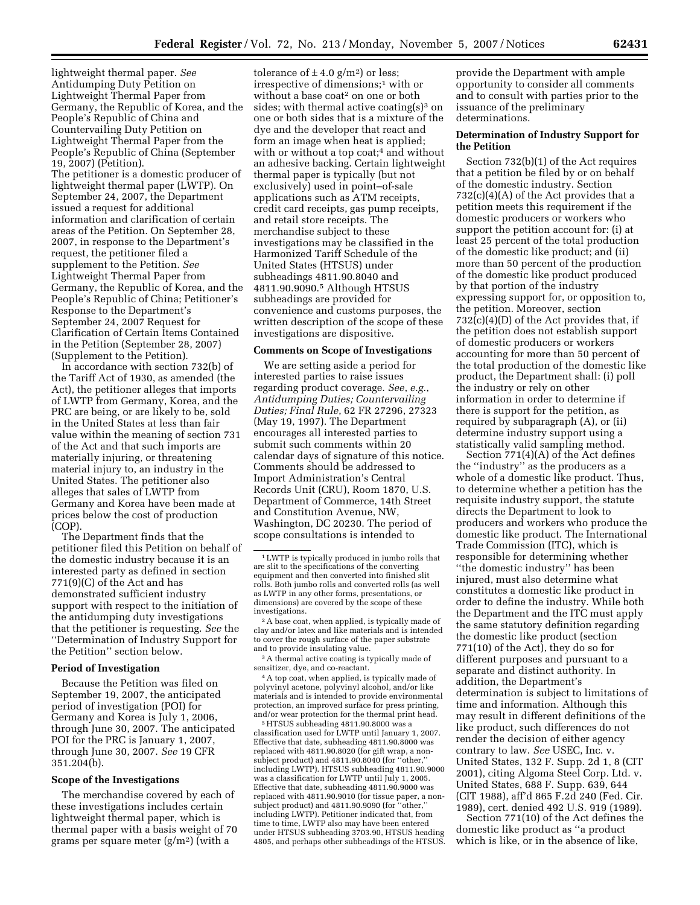lightweight thermal paper. *See*  Antidumping Duty Petition on Lightweight Thermal Paper from Germany, the Republic of Korea, and the People's Republic of China and Countervailing Duty Petition on Lightweight Thermal Paper from the People's Republic of China (September 19, 2007) (Petition). The petitioner is a domestic producer of lightweight thermal paper (LWTP). On September 24, 2007, the Department issued a request for additional information and clarification of certain areas of the Petition. On September 28, 2007, in response to the Department's request, the petitioner filed a supplement to the Petition. *See*  Lightweight Thermal Paper from Germany, the Republic of Korea, and the People's Republic of China; Petitioner's Response to the Department's September 24, 2007 Request for Clarification of Certain Items Contained in the Petition (September 28, 2007) (Supplement to the Petition).

In accordance with section 732(b) of the Tariff Act of 1930, as amended (the Act), the petitioner alleges that imports of LWTP from Germany, Korea, and the PRC are being, or are likely to be, sold in the United States at less than fair value within the meaning of section 731 of the Act and that such imports are materially injuring, or threatening material injury to, an industry in the United States. The petitioner also alleges that sales of LWTP from Germany and Korea have been made at prices below the cost of production (COP).

The Department finds that the petitioner filed this Petition on behalf of the domestic industry because it is an interested party as defined in section 771(9)(C) of the Act and has demonstrated sufficient industry support with respect to the initiation of the antidumping duty investigations that the petitioner is requesting. *See* the ''Determination of Industry Support for the Petition'' section below.

#### **Period of Investigation**

Because the Petition was filed on September 19, 2007, the anticipated period of investigation (POI) for Germany and Korea is July 1, 2006, through June 30, 2007. The anticipated POI for the PRC is January 1, 2007, through June 30, 2007. *See* 19 CFR 351.204(b).

#### **Scope of the Investigations**

The merchandise covered by each of these investigations includes certain lightweight thermal paper, which is thermal paper with a basis weight of 70 grams per square meter  $(g/m^2)$  (with a

tolerance of  $\pm$  4.0 g/m<sup>2</sup>) or less; irrespective of dimensions;1 with or without a base coat<sup>2</sup> on one or both sides; with thermal active coating $(s)$ <sup>3</sup> on one or both sides that is a mixture of the dye and the developer that react and form an image when heat is applied; with or without a top coat;<sup>4</sup> and without an adhesive backing. Certain lightweight thermal paper is typically (but not exclusively) used in point–of-sale applications such as ATM receipts, credit card receipts, gas pump receipts, and retail store receipts. The merchandise subject to these investigations may be classified in the Harmonized Tariff Schedule of the United States (HTSUS) under subheadings 4811.90.8040 and 4811.90.9090.5 Although HTSUS subheadings are provided for convenience and customs purposes, the written description of the scope of these investigations are dispositive.

#### **Comments on Scope of Investigations**

We are setting aside a period for interested parties to raise issues regarding product coverage. *See*, *e.g.*, *Antidumping Duties; Countervailing Duties; Final Rule*, 62 FR 27296, 27323 (May 19, 1997). The Department encourages all interested parties to submit such comments within 20 calendar days of signature of this notice. Comments should be addressed to Import Administration's Central Records Unit (CRU), Room 1870, U.S. Department of Commerce, 14th Street and Constitution Avenue, NW, Washington, DC 20230. The period of scope consultations is intended to

2A base coat, when applied, is typically made of clay and/or latex and like materials and is intended to cover the rough surface of the paper substrate and to provide insulating value.

3A thermal active coating is typically made of sensitizer, dye, and co-reactant.

4A top coat, when applied, is typically made of polyvinyl acetone, polyvinyl alcohol, and/or like materials and is intended to provide environmental protection, an improved surface for press printing, and/or wear protection for the thermal print head.

5HTSUS subheading 4811.90.8000 was a classification used for LWTP until January 1, 2007. Effective that date, subheading 4811.90.8000 was replaced with 4811.90.8020 (for gift wrap, a nonsubject product) and 4811.90.8040 (for "other, including LWTP). HTSUS subheading 4811.90.9000 was a classification for LWTP until July 1, 2005. Effective that date, subheading 4811.90.9000 was replaced with 4811.90.9010 (for tissue paper, a non-subject product) and 4811.90.9090 (for ''other,'' including LWTP). Petitioner indicated that, from time to time, LWTP also may have been entered under HTSUS subheading 3703.90, HTSUS heading 4805, and perhaps other subheadings of the HTSUS.

provide the Department with ample opportunity to consider all comments and to consult with parties prior to the issuance of the preliminary determinations.

## **Determination of Industry Support for the Petition**

Section 732(b)(1) of the Act requires that a petition be filed by or on behalf of the domestic industry. Section  $732(c)(4)(A)$  of the Act provides that a petition meets this requirement if the domestic producers or workers who support the petition account for: (i) at least 25 percent of the total production of the domestic like product; and (ii) more than 50 percent of the production of the domestic like product produced by that portion of the industry expressing support for, or opposition to, the petition. Moreover, section  $732(c)(4)(D)$  of the Act provides that, if the petition does not establish support of domestic producers or workers accounting for more than 50 percent of the total production of the domestic like product, the Department shall: (i) poll the industry or rely on other information in order to determine if there is support for the petition, as required by subparagraph (A), or (ii) determine industry support using a statistically valid sampling method.

Section 771(4)(A) of the Act defines the ''industry'' as the producers as a whole of a domestic like product. Thus, to determine whether a petition has the requisite industry support, the statute directs the Department to look to producers and workers who produce the domestic like product. The International Trade Commission (ITC), which is responsible for determining whether ''the domestic industry'' has been injured, must also determine what constitutes a domestic like product in order to define the industry. While both the Department and the ITC must apply the same statutory definition regarding the domestic like product (section 771(10) of the Act), they do so for different purposes and pursuant to a separate and distinct authority. In addition, the Department's determination is subject to limitations of time and information. Although this may result in different definitions of the like product, such differences do not render the decision of either agency contrary to law. *See* USEC, Inc. v. United States, 132 F. Supp. 2d 1, 8 (CIT 2001), citing Algoma Steel Corp. Ltd. v. United States, 688 F. Supp. 639, 644 (CIT 1988), aff'd 865 F.2d 240 (Fed. Cir. 1989), cert. denied 492 U.S. 919 (1989).

Section 771(10) of the Act defines the domestic like product as ''a product which is like, or in the absence of like,

<sup>1</sup>LWTP is typically produced in jumbo rolls that are slit to the specifications of the converting equipment and then converted into finished slit rolls. Both jumbo rolls and converted rolls (as well as LWTP in any other forms, presentations, or dimensions) are covered by the scope of these investigations.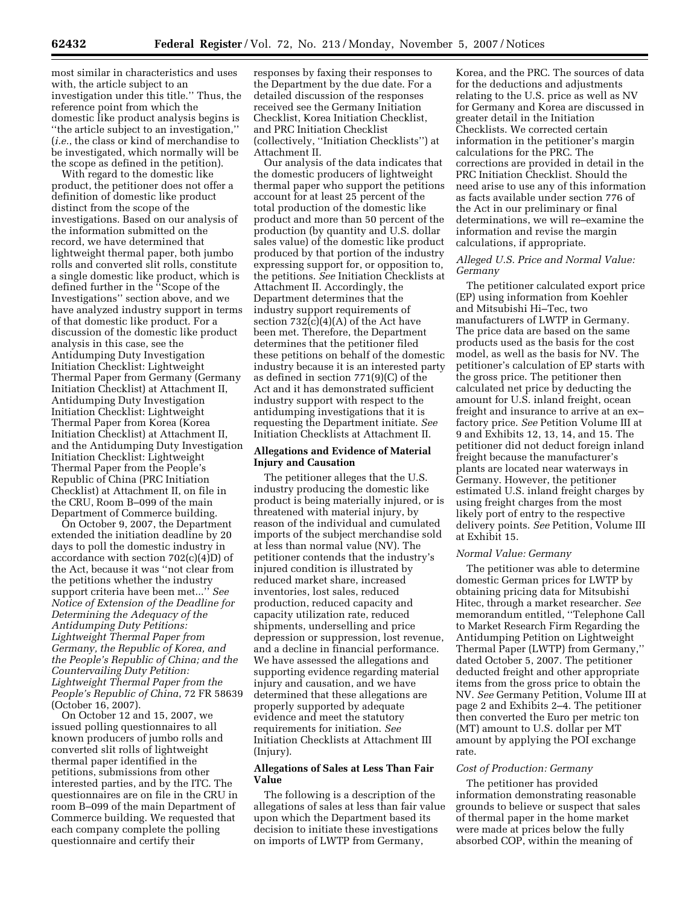most similar in characteristics and uses with, the article subject to an investigation under this title.'' Thus, the reference point from which the domestic like product analysis begins is ''the article subject to an investigation,'' (*i.e.*, the class or kind of merchandise to be investigated, which normally will be the scope as defined in the petition).

With regard to the domestic like product, the petitioner does not offer a definition of domestic like product distinct from the scope of the investigations. Based on our analysis of the information submitted on the record, we have determined that lightweight thermal paper, both jumbo rolls and converted slit rolls, constitute a single domestic like product, which is defined further in the ''Scope of the Investigations'' section above, and we have analyzed industry support in terms of that domestic like product. For a discussion of the domestic like product analysis in this case, see the Antidumping Duty Investigation Initiation Checklist: Lightweight Thermal Paper from Germany (Germany Initiation Checklist) at Attachment II, Antidumping Duty Investigation Initiation Checklist: Lightweight Thermal Paper from Korea (Korea Initiation Checklist) at Attachment II, and the Antidumping Duty Investigation Initiation Checklist: Lightweight Thermal Paper from the People's Republic of China (PRC Initiation Checklist) at Attachment II, on file in the CRU, Room B–099 of the main Department of Commerce building.

On October 9, 2007, the Department extended the initiation deadline by 20 days to poll the domestic industry in accordance with section  $702(c)(4)D$  of the Act, because it was ''not clear from the petitions whether the industry support criteria have been met...'' *See Notice of Extension of the Deadline for Determining the Adequacy of the Antidumping Duty Petitions: Lightweight Thermal Paper from Germany, the Republic of Korea, and the People's Republic of China; and the Countervailing Duty Petition: Lightweight Thermal Paper from the People's Republic of China*, 72 FR 58639 (October 16, 2007).

On October 12 and 15, 2007, we issued polling questionnaires to all known producers of jumbo rolls and converted slit rolls of lightweight thermal paper identified in the petitions, submissions from other interested parties, and by the ITC. The questionnaires are on file in the CRU in room B–099 of the main Department of Commerce building. We requested that each company complete the polling questionnaire and certify their

responses by faxing their responses to the Department by the due date. For a detailed discussion of the responses received see the Germany Initiation Checklist, Korea Initiation Checklist, and PRC Initiation Checklist (collectively, ''Initiation Checklists'') at Attachment II.

Our analysis of the data indicates that the domestic producers of lightweight thermal paper who support the petitions account for at least 25 percent of the total production of the domestic like product and more than 50 percent of the production (by quantity and U.S. dollar sales value) of the domestic like product produced by that portion of the industry expressing support for, or opposition to, the petitions. *See* Initiation Checklists at Attachment II. Accordingly, the Department determines that the industry support requirements of section  $732(c)(4)(A)$  of the Act have been met. Therefore, the Department determines that the petitioner filed these petitions on behalf of the domestic industry because it is an interested party as defined in section 771(9)(C) of the Act and it has demonstrated sufficient industry support with respect to the antidumping investigations that it is requesting the Department initiate. *See*  Initiation Checklists at Attachment II.

# **Allegations and Evidence of Material Injury and Causation**

The petitioner alleges that the U.S. industry producing the domestic like product is being materially injured, or is threatened with material injury, by reason of the individual and cumulated imports of the subject merchandise sold at less than normal value (NV). The petitioner contends that the industry's injured condition is illustrated by reduced market share, increased inventories, lost sales, reduced production, reduced capacity and capacity utilization rate, reduced shipments, underselling and price depression or suppression, lost revenue, and a decline in financial performance. We have assessed the allegations and supporting evidence regarding material injury and causation, and we have determined that these allegations are properly supported by adequate evidence and meet the statutory requirements for initiation. *See*  Initiation Checklists at Attachment III (Injury).

# **Allegations of Sales at Less Than Fair Value**

The following is a description of the allegations of sales at less than fair value upon which the Department based its decision to initiate these investigations on imports of LWTP from Germany,

Korea, and the PRC. The sources of data for the deductions and adjustments relating to the U.S. price as well as NV for Germany and Korea are discussed in greater detail in the Initiation Checklists. We corrected certain information in the petitioner's margin calculations for the PRC. The corrections are provided in detail in the PRC Initiation Checklist. Should the need arise to use any of this information as facts available under section 776 of the Act in our preliminary or final determinations, we will re–examine the information and revise the margin calculations, if appropriate.

# *Alleged U.S. Price and Normal Value: Germany*

The petitioner calculated export price (EP) using information from Koehler and Mitsubishi Hi–Tec, two manufacturers of LWTP in Germany. The price data are based on the same products used as the basis for the cost model, as well as the basis for NV. The petitioner's calculation of EP starts with the gross price. The petitioner then calculated net price by deducting the amount for U.S. inland freight, ocean freight and insurance to arrive at an ex– factory price. *See* Petition Volume III at 9 and Exhibits 12, 13, 14, and 15. The petitioner did not deduct foreign inland freight because the manufacturer's plants are located near waterways in Germany. However, the petitioner estimated U.S. inland freight charges by using freight charges from the most likely port of entry to the respective delivery points. *See* Petition, Volume III at Exhibit 15.

### *Normal Value: Germany*

The petitioner was able to determine domestic German prices for LWTP by obtaining pricing data for Mitsubishi Hitec, through a market researcher. *See*  memorandum entitled, ''Telephone Call to Market Research Firm Regarding the Antidumping Petition on Lightweight Thermal Paper (LWTP) from Germany,'' dated October 5, 2007. The petitioner deducted freight and other appropriate items from the gross price to obtain the NV. *See* Germany Petition, Volume III at page 2 and Exhibits 2–4. The petitioner then converted the Euro per metric ton (MT) amount to U.S. dollar per MT amount by applying the POI exchange rate.

# *Cost of Production: Germany*

The petitioner has provided information demonstrating reasonable grounds to believe or suspect that sales of thermal paper in the home market were made at prices below the fully absorbed COP, within the meaning of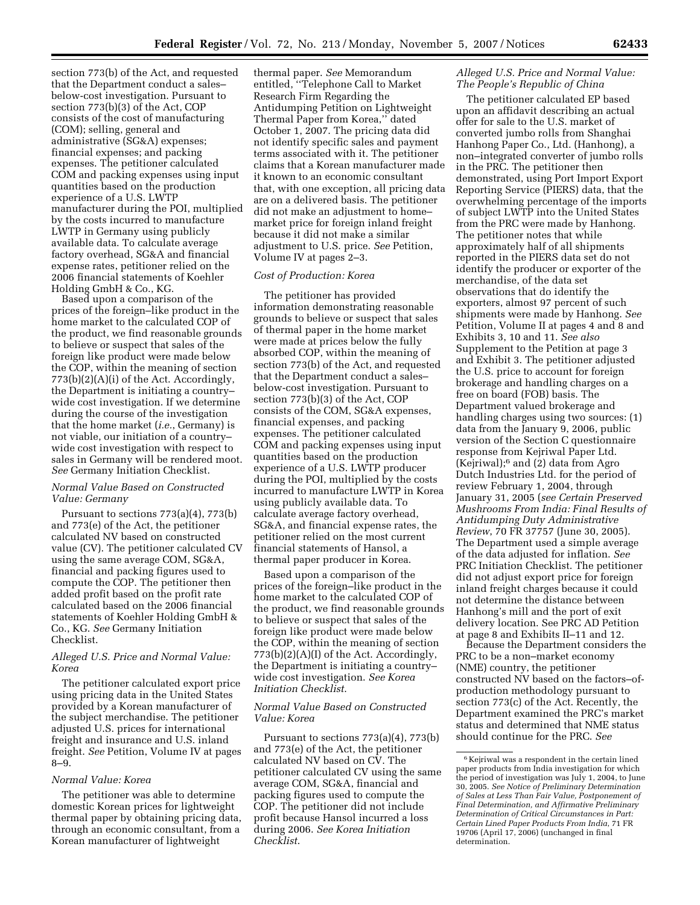section 773(b) of the Act, and requested that the Department conduct a sales– below-cost investigation. Pursuant to section 773(b)(3) of the Act, COP consists of the cost of manufacturing (COM); selling, general and administrative (SG&A) expenses; financial expenses; and packing expenses. The petitioner calculated COM and packing expenses using input quantities based on the production experience of a U.S. LWTP manufacturer during the POI, multiplied by the costs incurred to manufacture LWTP in Germany using publicly available data. To calculate average factory overhead, SG&A and financial expense rates, petitioner relied on the 2006 financial statements of Koehler Holding GmbH & Co., KG.

Based upon a comparison of the prices of the foreign–like product in the home market to the calculated COP of the product, we find reasonable grounds to believe or suspect that sales of the foreign like product were made below the COP, within the meaning of section 773(b)(2)(A)(i) of the Act. Accordingly, the Department is initiating a country– wide cost investigation. If we determine during the course of the investigation that the home market (*i.e.*, Germany) is not viable, our initiation of a country– wide cost investigation with respect to sales in Germany will be rendered moot. *See* Germany Initiation Checklist.

# *Normal Value Based on Constructed Value: Germany*

Pursuant to sections 773(a)(4), 773(b) and 773(e) of the Act, the petitioner calculated NV based on constructed value (CV). The petitioner calculated CV using the same average COM, SG&A, financial and packing figures used to compute the COP. The petitioner then added profit based on the profit rate calculated based on the 2006 financial statements of Koehler Holding GmbH & Co., KG. *See* Germany Initiation Checklist.

### *Alleged U.S. Price and Normal Value: Korea*

The petitioner calculated export price using pricing data in the United States provided by a Korean manufacturer of the subject merchandise. The petitioner adjusted U.S. prices for international freight and insurance and U.S. inland freight. *See* Petition, Volume IV at pages 8–9.

# *Normal Value: Korea*

The petitioner was able to determine domestic Korean prices for lightweight thermal paper by obtaining pricing data, through an economic consultant, from a Korean manufacturer of lightweight

thermal paper. *See* Memorandum entitled, ''Telephone Call to Market Research Firm Regarding the Antidumping Petition on Lightweight Thermal Paper from Korea,'' dated October 1, 2007. The pricing data did not identify specific sales and payment terms associated with it. The petitioner claims that a Korean manufacturer made it known to an economic consultant that, with one exception, all pricing data are on a delivered basis. The petitioner did not make an adjustment to home– market price for foreign inland freight because it did not make a similar adjustment to U.S. price. *See* Petition, Volume IV at pages 2–3.

### *Cost of Production: Korea*

The petitioner has provided information demonstrating reasonable grounds to believe or suspect that sales of thermal paper in the home market were made at prices below the fully absorbed COP, within the meaning of section 773(b) of the Act, and requested that the Department conduct a sales– below-cost investigation. Pursuant to section 773(b)(3) of the Act, COP consists of the COM, SG&A expenses, financial expenses, and packing expenses. The petitioner calculated COM and packing expenses using input quantities based on the production experience of a U.S. LWTP producer during the POI, multiplied by the costs incurred to manufacture LWTP in Korea using publicly available data. To calculate average factory overhead, SG&A, and financial expense rates, the petitioner relied on the most current financial statements of Hansol, a thermal paper producer in Korea.

Based upon a comparison of the prices of the foreign–like product in the home market to the calculated COP of the product, we find reasonable grounds to believe or suspect that sales of the foreign like product were made below the COP, within the meaning of section  $773(b)(2)(A)(I)$  of the Act. Accordingly, the Department is initiating a country– wide cost investigation. *See Korea Initiation Checklist*.

# *Normal Value Based on Constructed Value: Korea*

Pursuant to sections 773(a)(4), 773(b) and 773(e) of the Act, the petitioner calculated NV based on CV. The petitioner calculated CV using the same average COM, SG&A, financial and packing figures used to compute the COP. The petitioner did not include profit because Hansol incurred a loss during 2006. *See Korea Initiation Checklist*.

# *Alleged U.S. Price and Normal Value: The People's Republic of China*

The petitioner calculated EP based upon an affidavit describing an actual offer for sale to the U.S. market of converted jumbo rolls from Shanghai Hanhong Paper Co., Ltd. (Hanhong), a non–integrated converter of jumbo rolls in the PRC. The petitioner then demonstrated, using Port Import Export Reporting Service (PIERS) data, that the overwhelming percentage of the imports of subject LWTP into the United States from the PRC were made by Hanhong. The petitioner notes that while approximately half of all shipments reported in the PIERS data set do not identify the producer or exporter of the merchandise, of the data set observations that do identify the exporters, almost 97 percent of such shipments were made by Hanhong. *See*  Petition, Volume II at pages 4 and 8 and Exhibits 3, 10 and 11. *See also*  Supplement to the Petition at page 3 and Exhibit 3. The petitioner adjusted the U.S. price to account for foreign brokerage and handling charges on a free on board (FOB) basis. The Department valued brokerage and handling charges using two sources: (1) data from the January 9, 2006, public version of the Section C questionnaire response from Kejriwal Paper Ltd. (Kejriwal);6 and (2) data from Agro Dutch Industries Ltd. for the period of review February 1, 2004, through January 31, 2005 (*see Certain Preserved Mushrooms From India: Final Results of Antidumping Duty Administrative Review*, 70 FR 37757 (June 30, 2005). The Department used a simple average of the data adjusted for inflation. *See*  PRC Initiation Checklist. The petitioner did not adjust export price for foreign inland freight charges because it could not determine the distance between Hanhong's mill and the port of exit delivery location. See PRC AD Petition at page 8 and Exhibits II–11 and 12.

Because the Department considers the PRC to be a non–market economy (NME) country, the petitioner constructed NV based on the factors–ofproduction methodology pursuant to section 773(c) of the Act. Recently, the Department examined the PRC's market status and determined that NME status should continue for the PRC. *See* 

<sup>6</sup> Kejriwal was a respondent in the certain lined paper products from India investigation for which the period of investigation was July 1, 2004, to June 30, 2005. *See Notice of Preliminary Determination of Sales at Less Than Fair Value, Postponement of Final Determination, and Affirmative Preliminary Determination of Critical Circumstances in Part: Certain Lined Paper Products From India*, 71 FR 19706 (April 17, 2006) (unchanged in final determination.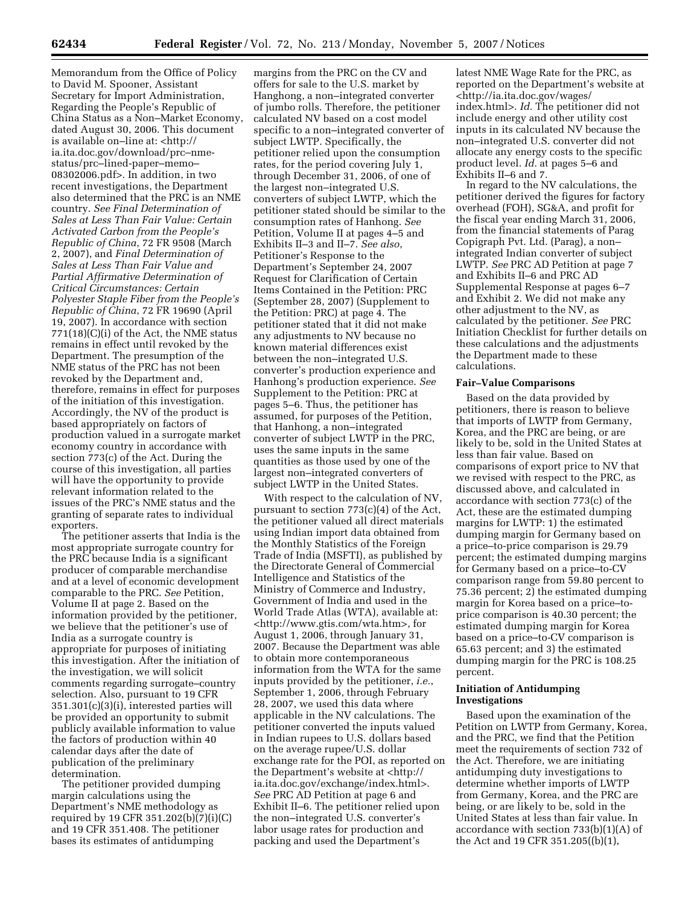Memorandum from the Office of Policy to David M. Spooner, Assistant Secretary for Import Administration, Regarding the People's Republic of China Status as a Non–Market Economy, dated August 30, 2006. This document is available on–line at: <http:// ia.ita.doc.gov/download/prc–nmestatus/prc–lined-paper–memo– 08302006.pdf>. In addition, in two recent investigations, the Department also determined that the PRC is an NME country. *See Final Determination of Sales at Less Than Fair Value: Certain Activated Carbon from the People's Republic of China*, 72 FR 9508 (March 2, 2007), and *Final Determination of Sales at Less Than Fair Value and Partial Affirmative Determination of Critical Circumstances: Certain Polyester Staple Fiber from the People's Republic of China*, 72 FR 19690 (April 19, 2007). In accordance with section 771(18)(C)(i) of the Act, the NME status remains in effect until revoked by the Department. The presumption of the NME status of the PRC has not been revoked by the Department and, therefore, remains in effect for purposes of the initiation of this investigation. Accordingly, the NV of the product is based appropriately on factors of production valued in a surrogate market economy country in accordance with section 773(c) of the Act. During the course of this investigation, all parties will have the opportunity to provide relevant information related to the issues of the PRC's NME status and the granting of separate rates to individual exporters.

The petitioner asserts that India is the most appropriate surrogate country for the PRC because India is a significant producer of comparable merchandise and at a level of economic development comparable to the PRC. *See* Petition, Volume II at page 2. Based on the information provided by the petitioner, we believe that the petitioner's use of India as a surrogate country is appropriate for purposes of initiating this investigation. After the initiation of the investigation, we will solicit comments regarding surrogate–country selection. Also, pursuant to 19 CFR 351.301(c)(3)(i), interested parties will be provided an opportunity to submit publicly available information to value the factors of production within 40 calendar days after the date of publication of the preliminary determination.

The petitioner provided dumping margin calculations using the Department's NME methodology as required by 19 CFR 351.202(b)(7)(i)(C) and 19 CFR 351.408. The petitioner bases its estimates of antidumping

margins from the PRC on the CV and offers for sale to the U.S. market by Hanghong, a non–integrated converter of jumbo rolls. Therefore, the petitioner calculated NV based on a cost model specific to a non–integrated converter of subject LWTP. Specifically, the petitioner relied upon the consumption rates, for the period covering July 1, through December 31, 2006, of one of the largest non–integrated U.S. converters of subject LWTP, which the petitioner stated should be similar to the consumption rates of Hanhong. *See*  Petition, Volume II at pages 4–5 and Exhibits II–3 and II–7. *See also*, Petitioner's Response to the Department's September 24, 2007 Request for Clarification of Certain Items Contained in the Petition: PRC (September 28, 2007) (Supplement to the Petition: PRC) at page 4. The petitioner stated that it did not make any adjustments to NV because no known material differences exist between the non–integrated U.S. converter's production experience and Hanhong's production experience. *See*  Supplement to the Petition: PRC at pages 5–6. Thus, the petitioner has assumed, for purposes of the Petition, that Hanhong, a non–integrated converter of subject LWTP in the PRC, uses the same inputs in the same quantities as those used by one of the largest non–integrated converters of subject LWTP in the United States.

With respect to the calculation of NV, pursuant to section 773(c)(4) of the Act, the petitioner valued all direct materials using Indian import data obtained from the Monthly Statistics of the Foreign Trade of India (MSFTI), as published by the Directorate General of Commercial Intelligence and Statistics of the Ministry of Commerce and Industry, Government of India and used in the World Trade Atlas (WTA), available at: <http://www.gtis.com/wta.htm>, for August 1, 2006, through January 31, 2007. Because the Department was able to obtain more contemporaneous information from the WTA for the same inputs provided by the petitioner, *i.e.*, September 1, 2006, through February 28, 2007, we used this data where applicable in the NV calculations. The petitioner converted the inputs valued in Indian rupees to U.S. dollars based on the average rupee/U.S. dollar exchange rate for the POI, as reported on the Department's website at <http:// ia.ita.doc.gov/exchange/index.html>. *See* PRC AD Petition at page 6 and Exhibit II–6. The petitioner relied upon the non–integrated U.S. converter's labor usage rates for production and packing and used the Department's

latest NME Wage Rate for the PRC, as reported on the Department's website at <http://ia.ita.doc.gov/wages/ index.html>. *Id.* The petitioner did not include energy and other utility cost inputs in its calculated NV because the non–integrated U.S. converter did not allocate any energy costs to the specific product level. *Id.* at pages 5–6 and Exhibits II–6 and 7.

In regard to the NV calculations, the petitioner derived the figures for factory overhead (FOH), SG&A, and profit for the fiscal year ending March 31, 2006, from the financial statements of Parag Copigraph Pvt. Ltd. (Parag), a non– integrated Indian converter of subject LWTP. *See* PRC AD Petition at page 7 and Exhibits II–6 and PRC AD Supplemental Response at pages 6–7 and Exhibit 2. We did not make any other adjustment to the NV, as calculated by the petitioner. *See* PRC Initiation Checklist for further details on these calculations and the adjustments the Department made to these calculations.

# **Fair–Value Comparisons**

Based on the data provided by petitioners, there is reason to believe that imports of LWTP from Germany, Korea, and the PRC are being, or are likely to be, sold in the United States at less than fair value. Based on comparisons of export price to NV that we revised with respect to the PRC, as discussed above, and calculated in accordance with section 773(c) of the Act, these are the estimated dumping margins for LWTP: 1) the estimated dumping margin for Germany based on a price–to-price comparison is 29.79 percent; the estimated dumping margins for Germany based on a price–to-CV comparison range from 59.80 percent to 75.36 percent; 2) the estimated dumping margin for Korea based on a price–toprice comparison is 40.30 percent; the estimated dumping margin for Korea based on a price–to-CV comparison is 65.63 percent; and 3) the estimated dumping margin for the PRC is 108.25 percent.

# **Initiation of Antidumping Investigations**

Based upon the examination of the Petition on LWTP from Germany, Korea, and the PRC, we find that the Petition meet the requirements of section 732 of the Act. Therefore, we are initiating antidumping duty investigations to determine whether imports of LWTP from Germany, Korea, and the PRC are being, or are likely to be, sold in the United States at less than fair value. In accordance with section 733(b)(1)(A) of the Act and 19 CFR 351.205((b)(1),